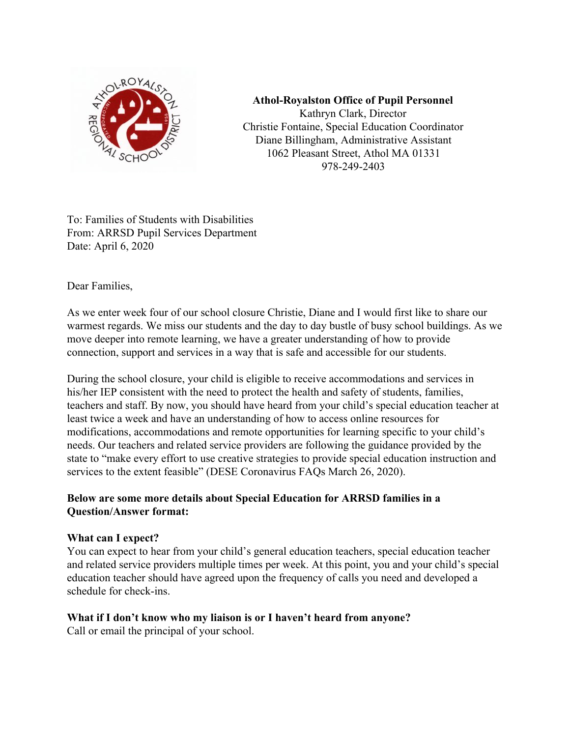

**Athol-Royalston Office of Pupil Personnel** Kathryn Clark, Director Christie Fontaine, Special Education Coordinator Diane Billingham, Administrative Assistant 1062 Pleasant Street, Athol MA 01331 978-249-2403

To: Families of Students with Disabilities From: ARRSD Pupil Services Department Date: April 6, 2020

Dear Families,

As we enter week four of our school closure Christie, Diane and I would first like to share our warmest regards. We miss our students and the day to day bustle of busy school buildings. As we move deeper into remote learning, we have a greater understanding of how to provide connection, support and services in a way that is safe and accessible for our students.

During the school closure, your child is eligible to receive accommodations and services in his/her IEP consistent with the need to protect the health and safety of students, families, teachers and staff. By now, you should have heard from your child's special education teacher at least twice a week and have an understanding of how to access online resources for modifications, accommodations and remote opportunities for learning specific to your child's needs. Our teachers and related service providers are following the guidance provided by the state to "make every effort to use creative strategies to provide special education instruction and services to the extent feasible" (DESE Coronavirus FAQs March 26, 2020).

### **Below are some more details about Special Education for ARRSD families in a Question/Answer format:**

### **What can I expect?**

You can expect to hear from your child's general education teachers, special education teacher and related service providers multiple times per week. At this point, you and your child's special education teacher should have agreed upon the frequency of calls you need and developed a schedule for check-ins.

### **What if I don't know who my liaison is or I haven't heard from anyone?**

Call or email the principal of your school.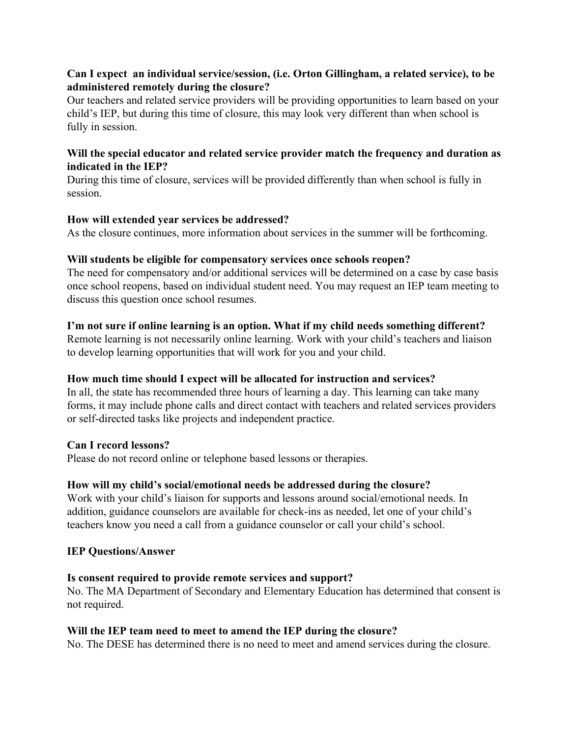### **Can I expect an individual service/session, (i.e. Orton Gillingham, a related service), to be administered remotely during the closure?**

Our teachers and related service providers will be providing opportunities to learn based on your child's IEP, but during this time of closure, this may look very different than when school is fully in session.

### **Will the special educator and related service provider match the frequency and duration as indicated in the IEP?**

During this time of closure, services will be provided differently than when school is fully in session.

### **How will extended year services be addressed?**

As the closure continues, more information about services in the summer will be forthcoming.

### **Will students be eligible for compensatory services once schools reopen?**

The need for compensatory and/or additional services will be determined on a case by case basis once school reopens, based on individual student need. You may request an IEP team meeting to discuss this question once school resumes.

### **I'm not sure if online learning is an option. What if my child needs something different?**

Remote learning is not necessarily online learning. Work with your child's teachers and liaison to develop learning opportunities that will work for you and your child.

### **How much time should I expect will be allocated for instruction and services?**

In all, the state has recommended three hours of learning a day. This learning can take many forms, it may include phone calls and direct contact with teachers and related services providers or self-directed tasks like projects and independent practice.

### **Can I record lessons?**

Please do not record online or telephone based lessons or therapies.

### **How will my child's social/emotional needs be addressed during the closure?**

Work with your child's liaison for supports and lessons around social/emotional needs. In addition, guidance counselors are available for check-ins as needed, let one of your child's teachers know you need a call from a guidance counselor or call your child's school.

#### **IEP Questions/Answer**

### **Is consent required to provide remote services and support?**

No. The MA Department of Secondary and Elementary Education has determined that consent is not required.

#### **Will the IEP team need to meet to amend the IEP during the closure?**

No. The DESE has determined there is no need to meet and amend services during the closure.